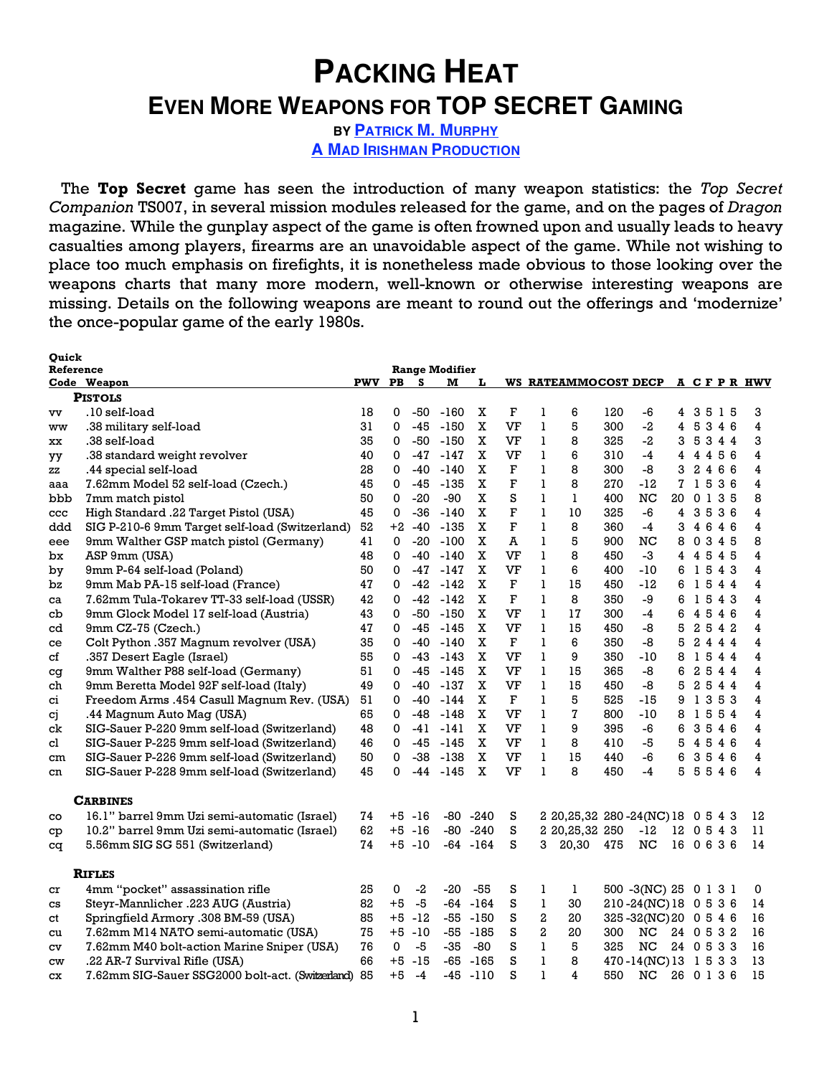# **PACKING HEAT EVEN MORE WEAPONS FOR TOP SECRET GAMING**

**BY PATRICK M. MURPHY A MAD IRISHMAN PRODUCTION**

The **Top Secret** game has seen the introduction of many weapon statistics: the *Top Secret Companion* TS007, in several mission modules released for the game, and on the pages of *Dragon* magazine. While the gunplay aspect of the game is often frowned upon and usually leads to heavy casualties among players, firearms are an unavoidable aspect of the game. While not wishing to place too much emphasis on firefights, it is nonetheless made obvious to those looking over the weapons charts that many more modern, well-known or otherwise interesting weapons are missing. Details on the following weapons are meant to round out the offerings and 'modernize' the once-popular game of the early 1980s.

| Ouick        |                                                                                   |     |             |           |                       |             |             |                |                                       |     |                       |                          |              |    |         |            |
|--------------|-----------------------------------------------------------------------------------|-----|-------------|-----------|-----------------------|-------------|-------------|----------------|---------------------------------------|-----|-----------------------|--------------------------|--------------|----|---------|------------|
| Reference    |                                                                                   |     |             |           | <b>Range Modifier</b> |             |             |                |                                       |     |                       |                          |              |    |         |            |
|              | Code Weapon                                                                       | PWV | <b>PB</b>   | s         | м                     | L           |             |                | WS RATEAMMOCOST DECP                  |     |                       |                          |              |    |         | A CFPR HWV |
|              | <b>PISTOLS</b>                                                                    |     |             |           |                       |             |             |                |                                       |     |                       |                          |              |    |         |            |
| vv           | .10 self-load                                                                     | 18  | 0           | -50       | -160                  | х           | F           | 1              | 6                                     | 120 | -6                    | 4                        |              |    | 3515    | 3          |
| ww           | .38 military self-load                                                            | 31  | 0           | -45       | $-150$                | X           | VF          | $\mathbf{1}$   | 5                                     | 300 | $-2$                  | 4                        |              |    | 5346    | 4          |
| xх           | .38 self-load                                                                     | 35  | 0           | -50       | $-150$                | X           | VF          | $\mathbf{1}$   | 8                                     | 325 | $-2$                  | 3                        |              |    | 5344    | 3          |
| уу           | .38 standard weight revolver                                                      | 40  | 0           | -47       | $-147$                | X           | VF          | $\mathbf{1}$   | 6                                     | 310 | $-4$                  | 4                        |              |    | 4 4 5 6 | 4          |
| ZZ           | .44 special self-load                                                             | 28  | 0           | $-40$     | $-140$                | X           | F           | $\mathbf{1}$   | 8                                     | 300 | -8                    | 3                        | $\mathbf{2}$ |    | 466     | 4          |
| aaa          | 7.62mm Model 52 self-load (Czech.)                                                | 45  | 0           | -45       | -135                  | X           | F           | $\mathbf{1}$   | 8                                     | 270 | $-12$                 |                          |              |    | 71536   | 4          |
| bbb          | 7mm match pistol                                                                  | 50  | 0           | $-20$     | $-90$                 | X           | S           | 1              | 1                                     | 400 | <b>NC</b>             | 20                       |              |    | 0 1 3 5 | 8          |
| $_{\rm ccc}$ | High Standard .22 Target Pistol (USA)                                             | 45  | 0           | -36       | $-140$                | X           | $\mathbf F$ | $\mathbf{1}$   | 10                                    | 325 | -6                    | 4                        |              | 35 | 36      | 4          |
| ddd          | SIG P-210-6 9mm Target self-load (Switzerland)                                    | 52  | $+2$        | $-40$     | $-135$                | X           | F           | $\mathbf{1}$   | 8                                     | 360 | $-4$                  | 3                        |              |    | 4646    | 4          |
| eee          | 9mm Walther GSP match pistol (Germany)                                            | 41  | 0           | $-20$     | $-100$                | X           | A           | 1              | 5                                     | 900 | NC                    | 8                        |              |    | 0 3 4 5 | 8          |
| bx           | ASP 9mm (USA)                                                                     | 48  | $\Omega$    | $-40$     | -140                  | $\mathbf X$ | VF          | $\mathbf{1}$   | 8                                     | 450 | $-3$                  | 4                        |              |    | 4545    | 4          |
| by           | 9mm P-64 self-load (Poland)                                                       | 50  | 0           | -47       | -147                  | X           | VF          | 1              | 6                                     | 400 | $-10$                 | 6                        |              |    | 1543    | 4          |
| bz           | 9mm Mab PA-15 self-load (France)                                                  | 47  | 0           | -42       | -142                  | X           | F           | 1              | 15                                    | 450 | $-12$                 | 6                        |              |    | 1544    | 4          |
| ca           | 7.62mm Tula-Tokarev TT-33 self-load (USSR)                                        | 42  | 0           | -42       | -142                  | X           | $\mathbf F$ | 1              | 8                                     | 350 | -9                    | 6                        |              |    | 1543    | 4          |
| cb           | 9mm Glock Model 17 self-load (Austria)                                            | 43  | 0           | -50       | -150                  | $\mathbf X$ | VF          | $\mathbf{1}$   | 17                                    | 300 | $-4$                  | 6                        |              |    | 4546    | 4          |
| cd           | 9mm CZ-75 (Czech.)                                                                | 47  | 0           | -45       | -145                  | X           | VF          | $\mathbf{1}$   | 15                                    | 450 | -8                    | 5                        |              |    | 2542    | 4          |
| ce           | Colt Python .357 Magnum revolver (USA)                                            | 35  | 0           | -40       | $-140$                | X           | $\mathbf F$ | 1              | 6                                     | 350 | -8                    | 5                        |              |    | 2444    | 4          |
| сf           | .357 Desert Eagle (Israel)                                                        | 55  | 0           | -43       | -143                  | X           | VF          | $\mathbf{1}$   | 9                                     | 350 | -10                   | 8                        |              |    | 1544    | 4          |
| cg           | 9mm Walther P88 self-load (Germany)                                               | 51  | 0           | -45       | -145                  | X           | VF          | 1              | 15                                    | 365 | -8                    | 6                        |              |    | 2544    | 4          |
| ch           | 9mm Beretta Model 92F self-load (Italy)                                           | 49  | 0           | -40       | $-137$                | X           | VF          | 1              | 15                                    | 450 | -8                    | 5                        |              |    | 2544    | 4          |
| ci           | Freedom Arms .454 Casull Magnum Rev. (USA)                                        | 51  | $\mathbf 0$ | $-40$     | $-144$                | X           | F           | $\mathbf{1}$   | 5                                     | 525 | -15                   | 9                        | 1            | 3  | 53      | 4          |
| сj           | .44 Magnum Auto Mag (USA)                                                         | 65  | 0           | -48       | $-148$                | X           | VF          | 1              | 7                                     | 800 | $-10$                 | 8                        |              |    | 1554    | 4          |
| ck           | SIG-Sauer P-220 9mm self-load (Switzerland)                                       | 48  | 0           | -41       | $-141$                | X           | VF          | 1              | 9                                     | 395 | $-6$                  | 6                        |              |    | 3546    | 4          |
| cl           | SIG-Sauer P-225 9mm self-load (Switzerland)                                       | 46  | 0           | -45       | -145                  | X           | VF          | $\mathbf{1}$   | 8                                     | 410 | $-5$                  | 5                        |              |    | 4546    | 4          |
| cm           | SIG-Sauer P-226 9mm self-load (Switzerland)                                       | 50  | 0           | -38       | -138                  | X           | VF          | 1              | 15                                    | 440 | $-6$                  | 6                        |              |    | 3546    | 4          |
| cn           | SIG-Sauer P-228 9mm self-load (Switzerland)                                       | 45  | 0           | -44       | -145                  | X           | VF          | $\mathbf{1}$   | 8                                     | 450 | $-4$                  | 5                        |              |    | 5546    | 4          |
|              | <b>CARBINES</b>                                                                   |     |             |           |                       |             |             |                |                                       |     |                       |                          |              |    |         |            |
| co           | 16.1" barrel 9mm Uzi semi-automatic (Israel)                                      | 74  |             | $+5 - 16$ |                       | $-80 - 240$ | s           |                | 2 20, 25, 32 280 - 24 (NC) 18 0 5 4 3 |     |                       |                          |              |    |         | 12         |
| cp           | 10.2" barrel 9mm Uzi semi-automatic (Israel)                                      | 62  |             | $+5 - 16$ |                       | $-80 - 240$ | S           |                | 2 20, 25, 32 250                      |     | $-12$                 | 12 0 5 4 3               |              |    |         | 11         |
| cq           | 5.56mm SIG SG 551 (Switzerland)                                                   | 74  |             | $+5 - 10$ |                       | $-64 - 164$ | S           | 3              | 20,30                                 | 475 | NC                    | 16                       |              |    | 0636    | 14         |
|              | <b>RIFLES</b>                                                                     |     |             |           |                       |             |             |                |                                       |     |                       |                          |              |    |         |            |
|              | 4mm "pocket" assassination rifle                                                  | 25  | 0           | $-2$      | -20                   | -55         | s           | 1              | 1                                     |     | 500 -3(NC) 25 0 1 3 1 |                          |              |    |         | 0          |
| cr           | Steyr-Mannlicher .223 AUG (Austria)                                               | 82  | $+5$        | $-5$      |                       | $-64 - 164$ | S           | $\mathbf{1}$   | 30                                    |     | 210-24(NC) 18 0 5 3 6 |                          |              |    |         | 14         |
| CS           | Springfield Armory .308 BM-59 (USA)                                               | 85  | $+5$        | -12       | -55                   | $-150$      | S           | $\overline{a}$ | 20                                    |     | 325-32(NC)20 0546     |                          |              |    |         | 16         |
| сt           |                                                                                   | 75  | $+5$        | -10       | -55                   | -185        | S           | $\overline{a}$ | 20                                    | 300 | NC                    |                          |              |    |         | 16         |
| cu           | 7.62mm M14 NATO semi-automatic (USA)                                              | 76  | 0           | $-5$      | $-35$                 | -80         | S           | $\mathbf{1}$   | 5                                     | 325 | NC                    | 24 0 5 3 2<br>24 0 5 3 3 |              |    |         | 16         |
| CV           | 7.62mm M40 bolt-action Marine Sniper (USA)                                        | 66  | $+5$        | $-15$     | -65                   | $-165$      | S           | 1              | 8                                     |     | 470-14(NC) 13 1 5 3 3 |                          |              |    |         | 13         |
| CW           | .22 AR-7 Survival Rifle (USA)<br>7.62mm SIG-Sauer SSG2000 bolt-act. (Switzerland) | 85  | $+5$        | $-4$      | -45                   | -110        | S           | $\mathbf{1}$   | 4                                     | 550 | NC                    | 26 0 1 3 6               |              |    |         | 15         |
| СX           |                                                                                   |     |             |           |                       |             |             |                |                                       |     |                       |                          |              |    |         |            |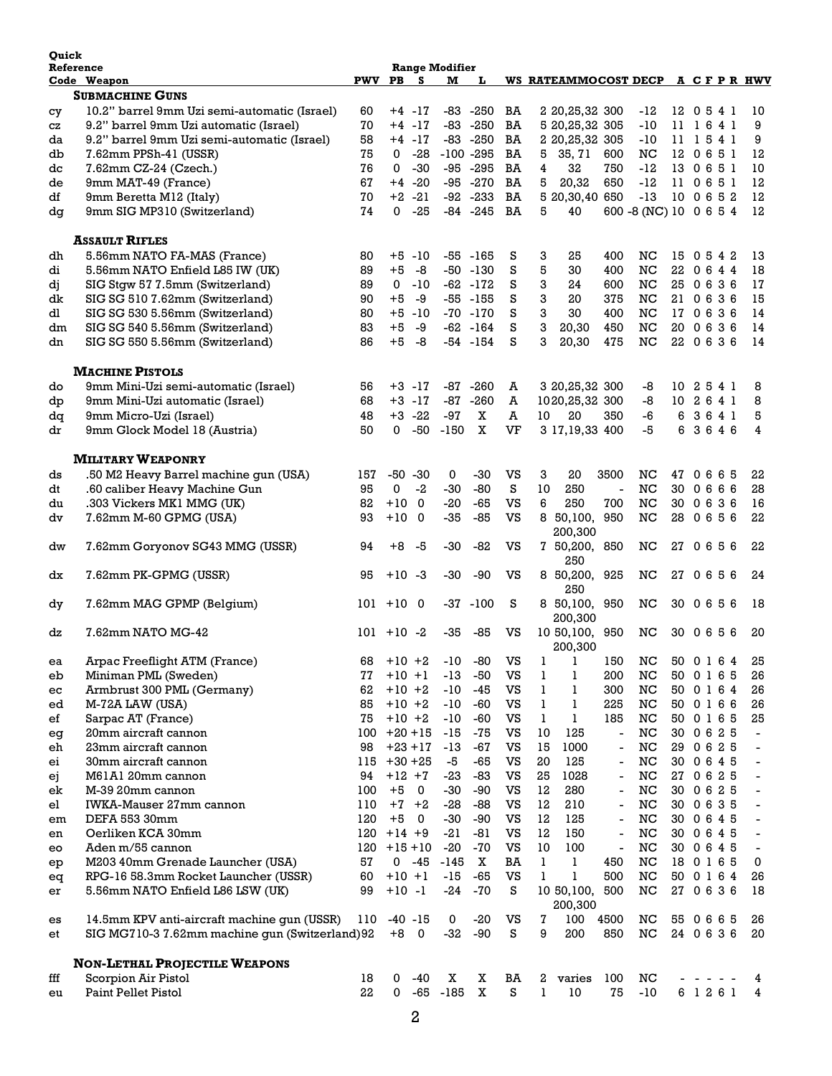| <b>Ouick</b><br>Reference |                                                |            | <b>Range Modifier</b> |             |             |              |    |    |                                    |                              |                        |            |  |              |                          |
|---------------------------|------------------------------------------------|------------|-----------------------|-------------|-------------|--------------|----|----|------------------------------------|------------------------------|------------------------|------------|--|--------------|--------------------------|
|                           | Code Weapon                                    | <b>PWV</b> | PB                    | <b>S</b>    | м           | L            |    |    | WS RATEAMMOCOST DECP A C F P R HWV |                              |                        |            |  |              |                          |
|                           | <b>SUBMACHINE GUNS</b>                         |            |                       |             |             |              |    |    |                                    |                              |                        |            |  |              |                          |
| cу                        | 10.2" barrel 9mm Uzi semi-automatic (Israel)   | 60         |                       | $+4$ -17    |             | $-83 - 250$  | BA |    | 2 20, 25, 32 300                   |                              | -12                    | 12 0 5 4 1 |  |              | 10                       |
| CZ                        | 9.2" barrel 9mm Uzi automatic (Israel)         | 70         |                       | $+4$ -17    |             | $-83 - 250$  | BA |    | 5 20, 25, 32 305                   |                              | $-10$                  |            |  | 11 1641      | 9                        |
| da                        | 9.2" barrel 9mm Uzi semi-automatic (Israel)    | 58         |                       | $+4$ -17    |             | $-83 - 250$  | BA |    | 2 20, 25, 32 305                   |                              | -10                    | 11 1541    |  |              | 9                        |
| db                        | 7.62mm PPSh-41 (USSR)                          | 75         | 0                     | $-28$       |             | $-100 - 295$ | BA | 5  | 35, 71                             | 600                          | NC                     |            |  | 12 0 6 5 1   | 12                       |
| dc                        | 7.62mm CZ-24 (Czech.)                          | 76         | 0                     | $-30$       |             | $-95 - 295$  | BA | 4  | 32                                 | 750                          | $-12$                  | 13 0 6 5 1 |  |              | 10                       |
| de                        | 9mm MAT-49 (France)                            | 67         |                       | $+4 -20$    |             | $-95 -270$   | BA | 5  | 20,32                              | 650                          | $-12$                  | 11 0 6 5 1 |  |              | 12                       |
| df                        | 9mm Beretta M12 (Italy)                        | 70         |                       | $+2 -21$    |             | $-92 - 233$  | BA |    | 5 20,30,40 650                     |                              | $-13$                  | 10 0 6 5 2 |  |              | 12                       |
| dq                        | 9mm SIG MP310 (Switzerland)                    | 74         | 0                     | $-25$       |             | $-84 - 245$  | BA | 5  | 40                                 |                              | 600 -8 (NC) 10 0 6 5 4 |            |  |              | 12                       |
|                           |                                                |            |                       |             |             |              |    |    |                                    |                              |                        |            |  |              |                          |
|                           | <b>ASSAULT RIFLES</b>                          |            |                       |             |             |              |    |    |                                    |                              |                        |            |  |              |                          |
| dh                        | 5.56mm NATO FA-MAS (France)                    | 80         |                       | +5 -10      |             | $-55 - 165$  | s  | 3  | 25                                 | 400                          | NC                     |            |  | 15 0 5 4 2   | 13                       |
| di                        | 5.56mm NATO Enfield L85 IW (UK)                | 89         | $+5$                  | $-8$        |             | $-50 - 130$  | S  | 5  | 30                                 | 400                          | NC                     | 22         |  | 0644         | 18                       |
| dj                        | SIG Stgw 57 7.5mm (Switzerland)                | 89         | 0                     | -10         |             | $-62 - 172$  | S  | 3  | 24                                 | 600                          | NC                     | 25         |  | 0636         | 17                       |
| dk                        | SIG SG 510 7.62mm (Switzerland)                | 90         | $+5$                  | -9          |             | $-55 - 155$  | S  | 3  | 20                                 | 375                          | NC                     |            |  | 21 0 6 3 6   | 15                       |
| dl                        | SIG SG 530 5.56mm (Switzerland)                | 80         | $+5$                  | -10         |             | $-70 - 170$  | S  | 3  | 30                                 | 400                          | NC                     | 17 0 6 3 6 |  |              | 14                       |
| dm                        | SIG SG 540 5.56mm (Switzerland)                | 83         | +5                    | $-9$        |             | $-62 - 164$  | S  | 3  | 20.30                              | 450                          | NC                     | 20         |  | 0636         | 14                       |
| dn                        | SIG SG 550 5.56mm (Switzerland)                | 86         | +5                    | -8          |             | -54 -154     | S  | 3  | 20,30                              | 475                          | NC                     | 22         |  | 0636         | 14                       |
|                           |                                                |            |                       |             |             |              |    |    |                                    |                              |                        |            |  |              |                          |
|                           | <b>MACHINE PISTOLS</b>                         |            |                       |             |             |              |    |    |                                    |                              |                        |            |  |              |                          |
| do                        | 9mm Mini-Uzi semi-automatic (Israel)           | 56         |                       | $+3$ -17    |             | -87 -260     | A  |    | 3 20, 25, 32 300                   |                              | -8                     |            |  | 10 2 5 4 1   | 8                        |
| dp                        | 9mm Mini-Uzi automatic (Israel)                | 68         |                       | $+3 -17$    |             | $-87 - 260$  | A  |    | 1020,25,32 300                     |                              | -8                     |            |  | 10 2 6 4 1   | 8                        |
| dq                        | 9mm Micro-Uzi (Israel)                         | 48         |                       | $+3 -22$    | -97         | X            | A  | 10 | 20                                 | 350                          | -6                     | 6          |  | 3641         | 5                        |
| dr                        | 9mm Glock Model 18 (Austria)                   | 50         | 0                     | -50         | $-150$      | X            | VF |    | 3 17, 19, 33 400                   |                              | -5                     | 6          |  | 3646         | 4                        |
|                           |                                                |            |                       |             |             |              |    |    |                                    |                              |                        |            |  |              |                          |
|                           | <b>MILITARY WEAPONRY</b>                       |            |                       |             |             |              |    |    |                                    |                              |                        |            |  |              |                          |
| ds                        | .50 M2 Heavy Barrel machine gun (USA)          | 157        |                       | $-50 - 30$  | 0           | $-30$        | vs | 3  | 20                                 | 3500                         | NC                     | 47         |  | 0665         | 22                       |
| dt                        | .60 caliber Heavy Machine Gun                  | 95         | 0                     | -2          | -30         | -80          | S  | 10 | 250                                | $\blacksquare$               | NC                     | 30 0 6 6 6 |  |              | 28                       |
| du                        | .303 Vickers MK1 MMG (UK)                      | 82         | $+10$                 | 0           | $-20$       | -65          | VS | 6  | 250                                | 700                          | NC                     | 30 0 6 3 6 |  |              | 16                       |
| dv                        | 7.62mm M-60 GPMG (USA)                         | 93         | $+10$                 | - 0         | -35         | -85          | VS |    | 8 50,100, 950                      |                              | NC                     | 28         |  | 0656         | 22                       |
|                           |                                                |            |                       |             |             |              |    |    | 200,300                            |                              |                        |            |  |              |                          |
| dw                        | 7.62mm Goryonov SG43 MMG (USSR)                | 94         | +8                    | -5          | -30         | -82          | VS |    | 7 50,200, 850                      |                              | NC                     |            |  | 27 0656      | 22                       |
|                           |                                                |            |                       |             |             |              |    |    | 250                                |                              |                        |            |  |              |                          |
| dx                        | 7.62mm PK-GPMG (USSR)                          | 95         | $+10 -3$              |             | -30         | -90          | VS |    | 8 50,200,                          | 925                          | NC                     |            |  | 27 0656      | 24                       |
|                           | 7.62mm MAG GPMP (Belgium)                      | 101        | $+10$                 | 0           |             | $-37 - 100$  | s  |    | 250<br>8 50,100, 950               |                              | NC                     | 30         |  | 0656         | 18                       |
| dy                        |                                                |            |                       |             |             |              |    |    | 200,300                            |                              |                        |            |  |              |                          |
|                           | 7.62mm NATO MG-42                              |            |                       |             |             | -85          |    |    |                                    |                              | NC                     |            |  |              |                          |
| dz                        |                                                |            | $101 + 10 - 2$        |             | -35         |              | vs |    | 10 50,100, 950                     |                              |                        | 30         |  | 0656         | 20                       |
|                           |                                                |            |                       |             |             |              |    |    | 200,300                            |                              |                        |            |  |              |                          |
| ea                        | Arpac Freeflight ATM (France)                  | 68         | $+10 +2$              |             | $-10$       | $-80$        | VS | 1  | 1                                  | 150                          | NC                     |            |  | 50 0 1 6 4   | 25                       |
| eb                        | Miniman PML (Sweden)                           | 77         | $+10 +1$              |             | $-13$       | -50          | VS | 1  | 1                                  | 200                          | NC                     | 50 0 1 6 5 |  |              | 26                       |
| ec                        | Armbrust 300 PML (Germany)                     | 62         | $+10 +2$              |             | $-10$       | $-45$        | VS | 1  | 1                                  | 300                          | NC                     | 50 0 1 6 4 |  |              | 26                       |
| ed                        | M-72A LAW (USA)                                | 85         | $+10 +2$              |             | $-10$       | $-60$        | VS | 1  | 1                                  | 225                          | NC                     |            |  | 50 0 1 6 6   | 26                       |
| $_{\rm ef}$               | Sarpac AT (France)                             | 75         | $+10 +2$              |             | $-10$       | $-60$        | VS | 1  | 1                                  | 185                          | NC                     |            |  | 50 0 1 6 5   | 25                       |
| eg                        | 20mm aircraft cannon                           | 100        |                       | $+20+15$    | -15         | $-75$        | VS | 10 | 125                                | $\overline{\phantom{a}}$     | NC                     | 30 0 6 2 5 |  |              | $\overline{\phantom{a}}$ |
| eh                        | 23mm aircraft cannon                           | 98         |                       | $+23 + 17$  | $-13$       | $-67$        | VS | 15 | 1000                               | $\overline{\phantom{a}}$     | NC                     | 29 0 6 2 5 |  |              | $\overline{\phantom{0}}$ |
| ei                        | 30mm aircraft cannon                           | 115        |                       | $+30+25$    | -5          | $-65$        | VS | 20 | 125                                | $\overline{\phantom{a}}$     | NC                     |            |  | 30 0 6 4 5   | $\overline{\phantom{0}}$ |
| ej                        | M61A1 20mm cannon                              | 94         | $+12$ +7              |             | $-23$       | $-83$        | VS | 25 | 1028                               | ÷,                           | NC                     | 27 0 6 2 5 |  |              | $\blacksquare$           |
| ek                        | M-39 20mm cannon                               | 100        | $+5$                  | $\mathbf 0$ | $-30$       | $-90$        | vs | 12 | 280                                | $\overline{\phantom{a}}$     | NC                     | 30 0 6 2 5 |  |              | $\overline{\phantom{a}}$ |
| el                        | <b>IWKA-Mauser 27mm cannon</b>                 | 110        |                       | $+7$ $+2$   | $-28$       | $-88$        | vs | 12 | 210                                | $\qquad \qquad \blacksquare$ | NC                     | 30 0 6 3 5 |  |              | $\overline{\phantom{0}}$ |
| em                        | DEFA 553 30mm                                  | 120        | $+5$                  | $\mathbf 0$ | $-30$       | $-90$        | VS | 12 | 125                                | $\overline{\phantom{a}}$     | NC                     | 30 0 6 4 5 |  |              | $\overline{\phantom{a}}$ |
| en                        | Oerliken KCA 30mm                              |            | $120 + 14 + 9$        |             | $-21$       | $-81$        | VS | 12 | 150                                | $\overline{a}$               | NC                     | 30 0 6 4 5 |  |              | $\overline{\phantom{a}}$ |
| eo                        | Aden m/55 cannon                               | 120        | $+15+10$              |             | $-20$       | $-70$        | VS | 10 | 100                                | $\blacksquare$               | NC                     | 30 0 6 4 5 |  |              | $\overline{\phantom{a}}$ |
|                           | M203 40mm Grenade Launcher (USA)               | 57         |                       | $0 -45$     | -145        | x            | BA | 1  | 1                                  | 450                          | NC                     | 18 0 1 6 5 |  |              | 0                        |
| еp                        |                                                | 60         | $+10$ +1              |             |             | $-65$        | VS | 1  | 1                                  | 500                          | NC                     |            |  |              |                          |
| eq                        | RPG-16 58.3mm Rocket Launcher (USSR)           |            |                       |             | $-15$       |              |    |    |                                    |                              |                        |            |  | 50 0 1 6 4   | 26                       |
| er                        | 5.56mm NATO Enfield L86 LSW (UK)               | 99         | $+10 -1$              |             | -24         | $-70$        | s  |    | 1050, 100,                         | 500                          | NC                     |            |  | 27 0636      | 18                       |
|                           |                                                |            |                       |             |             |              |    |    | 200,300                            |                              |                        |            |  |              |                          |
| es                        | 14.5mm KPV anti-aircraft machine gun (USSR)    | 110        |                       | $-40 - 15$  | 0           | $-20$        | VS | 7  | 100                                | 4500                         | NC                     | 55 0 6 6 5 |  |              | 26                       |
| et                        | SIG MG710-3 7.62mm machine gun (Switzerland)92 |            |                       | $+8$ 0      | -32         | $-90$        | s  | 9  | 200                                | 850                          | NC                     |            |  | 24 0 6 3 6   | 20                       |
|                           | <b>NON-LETHAL PROJECTILE WEAPONS</b>           |            |                       |             |             |              |    |    |                                    |                              |                        |            |  |              |                          |
| fff                       | Scorpion Air Pistol                            | 18         | 0                     | -40         | х           | X            | BA | 2  | varies                             | 100                          | NC                     |            |  | $\sim$ $  -$ | 4                        |
| eu                        | Paint Pellet Pistol                            | 22         | 0                     |             | $-65 - 185$ | X            | s  | 1  | 10                                 | 75                           | $-10$                  |            |  | 6 1 2 6 1    | 4                        |
|                           |                                                |            |                       |             |             |              |    |    |                                    |                              |                        |            |  |              |                          |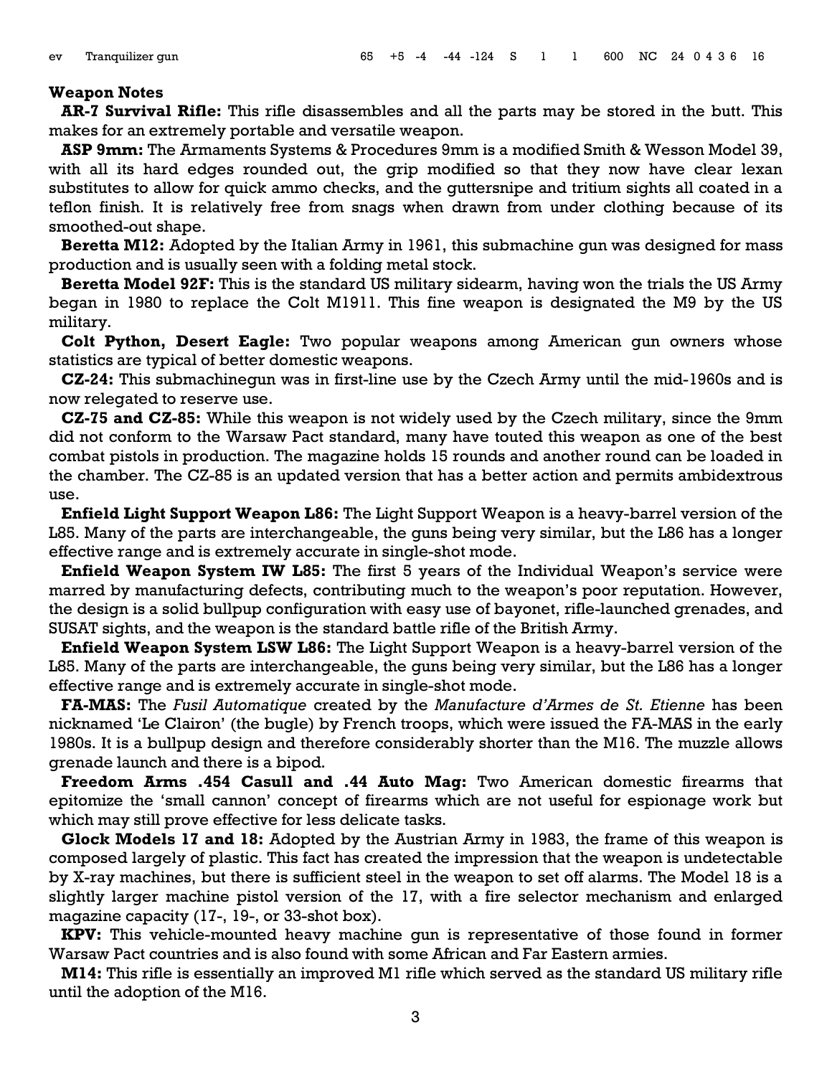#### **Weapon Notes**

**AR-7 Survival Rifle:** This rifle disassembles and all the parts may be stored in the butt. This makes for an extremely portable and versatile weapon.

**ASP 9mm:** The Armaments Systems & Procedures 9mm is a modified Smith & Wesson Model 39, with all its hard edges rounded out, the grip modified so that they now have clear lexan substitutes to allow for quick ammo checks, and the guttersnipe and tritium sights all coated in a teflon finish. It is relatively free from snags when drawn from under clothing because of its smoothed-out shape.

**Beretta M12:** Adopted by the Italian Army in 1961, this submachine gun was designed for mass production and is usually seen with a folding metal stock.

**Beretta Model 92F:** This is the standard US military sidearm, having won the trials the US Army began in 1980 to replace the Colt M1911. This fine weapon is designated the M9 by the US military.

**Colt Python, Desert Eagle:** Two popular weapons among American gun owners whose statistics are typical of better domestic weapons.

**CZ-24:** This submachinegun was in first-line use by the Czech Army until the mid-1960s and is now relegated to reserve use.

**CZ-75 and CZ-85:** While this weapon is not widely used by the Czech military, since the 9mm did not conform to the Warsaw Pact standard, many have touted this weapon as one of the best combat pistols in production. The magazine holds 15 rounds and another round can be loaded in the chamber. The CZ-85 is an updated version that has a better action and permits ambidextrous use.

**Enfield Light Support Weapon L86:** The Light Support Weapon is a heavy-barrel version of the L85. Many of the parts are interchangeable, the guns being very similar, but the L86 has a longer effective range and is extremely accurate in single-shot mode.

**Enfield Weapon System IW L85:** The first 5 years of the Individual Weapon's service were marred by manufacturing defects, contributing much to the weapon's poor reputation. However, the design is a solid bullpup configuration with easy use of bayonet, rifle-launched grenades, and SUSAT sights, and the weapon is the standard battle rifle of the British Army.

**Enfield Weapon System LSW L86:** The Light Support Weapon is a heavy-barrel version of the L85. Many of the parts are interchangeable, the guns being very similar, but the L86 has a longer effective range and is extremely accurate in single-shot mode.

**FA-MAS:** The *Fusil Automatique* created by the *Manufacture d'Armes de St. Etienne* has been nicknamed 'Le Clairon' (the bugle) by French troops, which were issued the FA-MAS in the early 1980s. It is a bullpup design and therefore considerably shorter than the M16. The muzzle allows grenade launch and there is a bipod.

**Freedom Arms .454 Casull and .44 Auto Mag:** Two American domestic firearms that epitomize the 'small cannon' concept of firearms which are not useful for espionage work but which may still prove effective for less delicate tasks.

**Glock Models 17 and 18:** Adopted by the Austrian Army in 1983, the frame of this weapon is composed largely of plastic. This fact has created the impression that the weapon is undetectable by X-ray machines, but there is sufficient steel in the weapon to set off alarms. The Model 18 is a slightly larger machine pistol version of the 17, with a fire selector mechanism and enlarged magazine capacity (17-, 19-, or 33-shot box).

**KPV:** This vehicle-mounted heavy machine gun is representative of those found in former Warsaw Pact countries and is also found with some African and Far Eastern armies.

**M14:** This rifle is essentially an improved M1 rifle which served as the standard US military rifle until the adoption of the M16.

3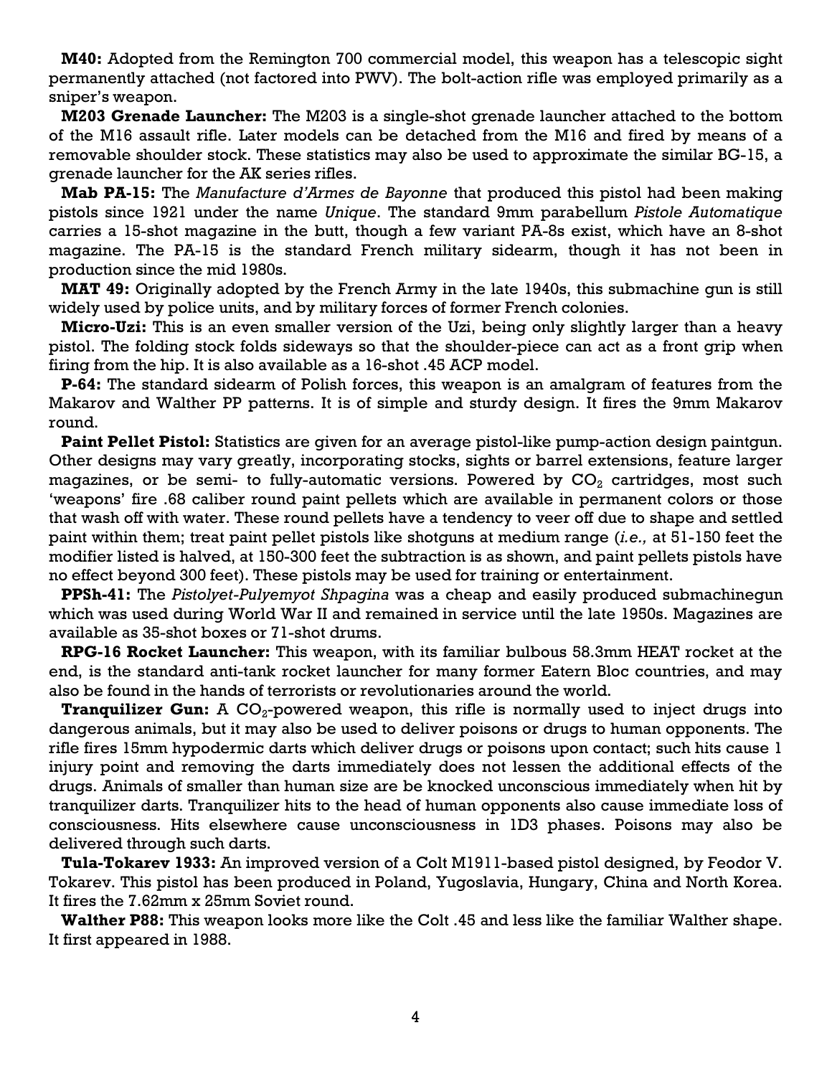**M40:** Adopted from the Remington 700 commercial model, this weapon has a telescopic sight permanently attached (not factored into PWV). The bolt-action rifle was employed primarily as a sniper's weapon.

**M203 Grenade Launcher:** The M203 is a single-shot grenade launcher attached to the bottom of the M16 assault rifle. Later models can be detached from the M16 and fired by means of a removable shoulder stock. These statistics may also be used to approximate the similar BG-15, a grenade launcher for the AK series rifles.

**Mab PA-15:** The *Manufacture d'Armes de Bayonne* that produced this pistol had been making pistols since 1921 under the name *Unique*. The standard 9mm parabellum *Pistole Automatique* carries a 15-shot magazine in the butt, though a few variant PA-8s exist, which have an 8-shot magazine. The PA-15 is the standard French military sidearm, though it has not been in production since the mid 1980s.

**MAT 49:** Originally adopted by the French Army in the late 1940s, this submachine gun is still widely used by police units, and by military forces of former French colonies.

**Micro-Uzi:** This is an even smaller version of the Uzi, being only slightly larger than a heavy pistol. The folding stock folds sideways so that the shoulder-piece can act as a front grip when firing from the hip. It is also available as a 16-shot .45 ACP model.

**P-64:** The standard sidearm of Polish forces, this weapon is an amalgram of features from the Makarov and Walther PP patterns. It is of simple and sturdy design. It fires the 9mm Makarov round.

**Paint Pellet Pistol:** Statistics are given for an average pistol-like pump-action design paintgun. Other designs may vary greatly, incorporating stocks, sights or barrel extensions, feature larger magazines, or be semi- to fully-automatic versions. Powered by  $CO<sub>2</sub>$  cartridges, most such 'weapons' fire .68 caliber round paint pellets which are available in permanent colors or those that wash off with water. These round pellets have a tendency to veer off due to shape and settled paint within them; treat paint pellet pistols like shotguns at medium range (*i.e.,* at 51-150 feet the modifier listed is halved, at 150-300 feet the subtraction is as shown, and paint pellets pistols have no effect beyond 300 feet). These pistols may be used for training or entertainment.

**PPSh-41:** The *Pistolyet-Pulyemyot Shpagina* was a cheap and easily produced submachinegun which was used during World War II and remained in service until the late 1950s. Magazines are available as 35-shot boxes or 71-shot drums.

**RPG-16 Rocket Launcher:** This weapon, with its familiar bulbous 58.3mm HEAT rocket at the end, is the standard anti-tank rocket launcher for many former Eatern Bloc countries, and may also be found in the hands of terrorists or revolutionaries around the world.

**Tranquilizer Gun:** A CO<sub>2</sub>-powered weapon, this rifle is normally used to inject drugs into dangerous animals, but it may also be used to deliver poisons or drugs to human opponents. The rifle fires 15mm hypodermic darts which deliver drugs or poisons upon contact; such hits cause 1 injury point and removing the darts immediately does not lessen the additional effects of the drugs. Animals of smaller than human size are be knocked unconscious immediately when hit by tranquilizer darts. Tranquilizer hits to the head of human opponents also cause immediate loss of consciousness. Hits elsewhere cause unconsciousness in 1D3 phases. Poisons may also be delivered through such darts.

**Tula-Tokarev 1933:** An improved version of a Colt M1911-based pistol designed, by Feodor V. Tokarev. This pistol has been produced in Poland, Yugoslavia, Hungary, China and North Korea. It fires the 7.62mm x 25mm Soviet round.

**Walther P88:** This weapon looks more like the Colt .45 and less like the familiar Walther shape. It first appeared in 1988.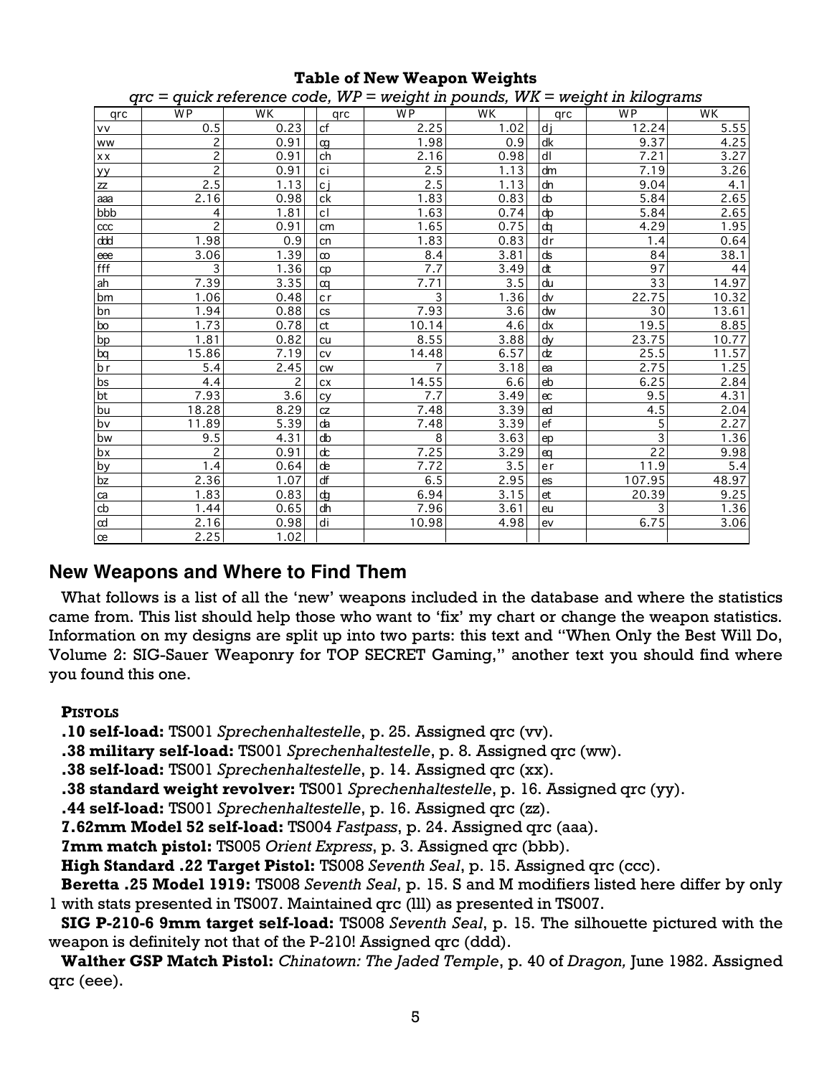| $qrc = quick reference code$ , $WP = weight$ in pounds, $WK = weight$ in kilograms |                         |      |  |                        |                  |                  |  |                       |                 |       |  |  |
|------------------------------------------------------------------------------------|-------------------------|------|--|------------------------|------------------|------------------|--|-----------------------|-----------------|-------|--|--|
| qrc                                                                                | <b>WP</b>               | WK   |  | qrc                    | <b>WP</b>        | WK               |  | qrc                   | W <sub>P</sub>  | WK    |  |  |
| <u>Ivv</u>                                                                         | 0.5                     | 0.23 |  | cf                     | 2.25             | 1.02             |  | $\overline{d}$        | 12.24           | 5.55  |  |  |
| ww                                                                                 | $\overline{2}$          | 0.91 |  | œ                      | 1.98             | 0.9              |  | dk                    | 9.37            | 4.25  |  |  |
| xx                                                                                 | $\overline{c}$          | 0.91 |  | ch                     | 2.16             | 0.98             |  | $\overline{dl}$       | 7.21            | 3.27  |  |  |
|                                                                                    | $\overline{2}$          | 0.91 |  | ci                     | 2.5              | 1.13             |  | dm                    | 7.19            | 3.26  |  |  |
| $\frac{yy}{zz}$                                                                    | 2.5                     | 1.13 |  | $\overline{c}$ j       | 2.5              | 1.13             |  | dn                    | 9.04            | 4.1   |  |  |
| aaa                                                                                | 2.16                    | 0.98 |  | ck                     | 1.83             | 0.83             |  | $\boldsymbol{\omega}$ | 5.84            | 2.65  |  |  |
| bbb                                                                                | 4                       | 1.81 |  | cl                     | 1.63             | 0.74             |  | dp                    | 5.84            | 2.65  |  |  |
| ccc                                                                                | $\overline{c}$          | 0.91 |  | cm                     | 1.65             | 0.75             |  | $\overline{d}$        | 4.29            | 1.95  |  |  |
| ddd                                                                                | 1.98                    | 0.9  |  | cn                     | 1.83             | 0.83             |  | dr                    | 1.4             | 0.64  |  |  |
| eee                                                                                | 3.06                    | 1.39 |  | $\infty$               | 8.4              | 3.81             |  | ds                    | 84              | 38.1  |  |  |
| fff                                                                                | $\overline{\mathbf{3}}$ | 1.36 |  | cp                     | $\overline{7.7}$ | 3.49             |  | $\overline{dt}$       | $\overline{97}$ | 44    |  |  |
| $\overline{ah}$                                                                    | 7.39                    | 3.35 |  | $\alpha$               | 7.71             | 3.5              |  | du                    | 33              | 14.97 |  |  |
| bm                                                                                 | 1.06                    | 0.48 |  | cr                     | 3                | 1.36             |  | dv                    | 22.75           | 10.32 |  |  |
| $\sqrt{bn}$                                                                        | 1.94                    | 0.88 |  | <b>CS</b>              | 7.93             | 3.6              |  | dw                    | $\overline{30}$ | 13.61 |  |  |
| $\overline{\text{bo}}$                                                             | 1.73                    | 0.78 |  | ${\sf ct}$             | 10.14            | 4.6              |  | dx                    | 19.5            | 8.85  |  |  |
| $\overline{bp}$                                                                    | 1.81                    | 0.82 |  | cu                     | 8.55             | 3.88             |  | dy                    | 23.75           | 10.77 |  |  |
| $\sqrt{bq}$                                                                        | 15.86                   | 7.19 |  | CV                     | 14.48            | 6.57             |  | dz                    | 25.5            | 11.57 |  |  |
| $\overline{b}$ r                                                                   | 5.4                     | 2.45 |  | <b>CW</b>              | $\overline{7}$   | 3.18             |  | ea                    | 2.75            | 1.25  |  |  |
| $\overline{bs}$                                                                    | 4.4                     | 2    |  | <b>CX</b>              | 14.55            | 6.6              |  | eb                    | 6.25            | 2.84  |  |  |
| bt                                                                                 | 7.93                    | 3.6  |  | cy                     | 7.7              | 3.49             |  | ec                    | 9.5             | 4.31  |  |  |
| bu                                                                                 | 18.28                   | 8.29 |  | CZ                     | 7.48             | 3.39             |  | $\epsilon$            | 4.5             | 2.04  |  |  |
| bv                                                                                 | 11.89                   | 5.39 |  | da                     | 7.48             | 3.39             |  | $\overline{ef}$       | 5               | 2.27  |  |  |
| bw                                                                                 | 9.5                     | 4.31 |  | $d\mathbf{b}$          | 8                | 3.63             |  | ep                    | 3               | 1.36  |  |  |
| bx                                                                                 | $\overline{c}$          | 0.91 |  | $\mathrm{d}\mathrm{c}$ | 7.25             | 3.29             |  | $\alpha$              | 22              | 9.98  |  |  |
| by                                                                                 | 1.4                     | 0.64 |  | $\overline{d}$         | 7.72             | $\overline{3.5}$ |  | er                    | 11.9            | 5.4   |  |  |
| $\sqrt{bz}$                                                                        | 2.36                    | 1.07 |  | $\overline{df}$        | 6.5              | 2.95             |  | es                    | 107.95          | 48.97 |  |  |
|                                                                                    | 1.83                    | 0.83 |  | $\overline{d}$         | 6.94             | 3.15             |  | et                    | 20.39           | 9.25  |  |  |
| $\frac{ca}{cb}$                                                                    | 1.44                    | 0.65 |  | dh                     | 7.96             | 3.61             |  | eu                    | 3               | 1.36  |  |  |
| $\overline{\alpha}$                                                                | 2.16                    | 0.98 |  | di                     | 10.98            | 4.98             |  | ev                    | 6.75            | 3.06  |  |  |
| $\overline{c}$                                                                     | 2.25                    | 1.02 |  |                        |                  |                  |  |                       |                 |       |  |  |

## **Table of New Weapon Weights**

## New Weapons and Where to Find Them

What follows is a list of all the 'new' weapons included in the database and where the statistics came from. This list should help those who want to 'fix' my chart or change the weapon statistics. Information on my designs are split up into two parts: this text and "When Only the Best Will Do, Volume 2: SIG-Sauer Weaponry for TOP SECRET Gaming," another text you should find where you found this one.

## **PISTOLS**

.10 self-load: TS001 Sprechenhaltestelle, p. 25. Assigned qrc (vv).

.38 military self-load: TS001 Sprechenhaltestelle, p. 8. Assigned qrc (ww).

.38 self-load: TS001 Sprechenhaltestelle, p. 14. Assigned qrc (xx).

.38 standard weight revolver: TS001 Sprechenhaltestelle, p. 16. Assigned qrc (yy).

.44 self-load: TS001 Sprechenhaltestelle, p. 16. Assigned grc (zz).

7.62mm Model 52 self-load: TS004 Fastpass, p. 24. Assigned qrc (aaa).

7mm match pistol: TS005 Orient Express, p. 3. Assigned qrc (bbb).

High Standard .22 Target Pistol: TS008 Seventh Seal, p. 15. Assigned qrc (ccc).

Beretta .25 Model 1919: TS008 Seventh Seal, p. 15. S and M modifiers listed here differ by only 1 with stats presented in TS007. Maintained qrc (III) as presented in TS007.

SIG P-210-6 9mm target self-load: TS008 Seventh Seal, p. 15. The silhouette pictured with the weapon is definitely not that of the P-210! Assigned qrc (ddd).

Walther GSP Match Pistol: Chinatown: The Jaded Temple, p. 40 of Dragon, June 1982. Assigned qrc (eee).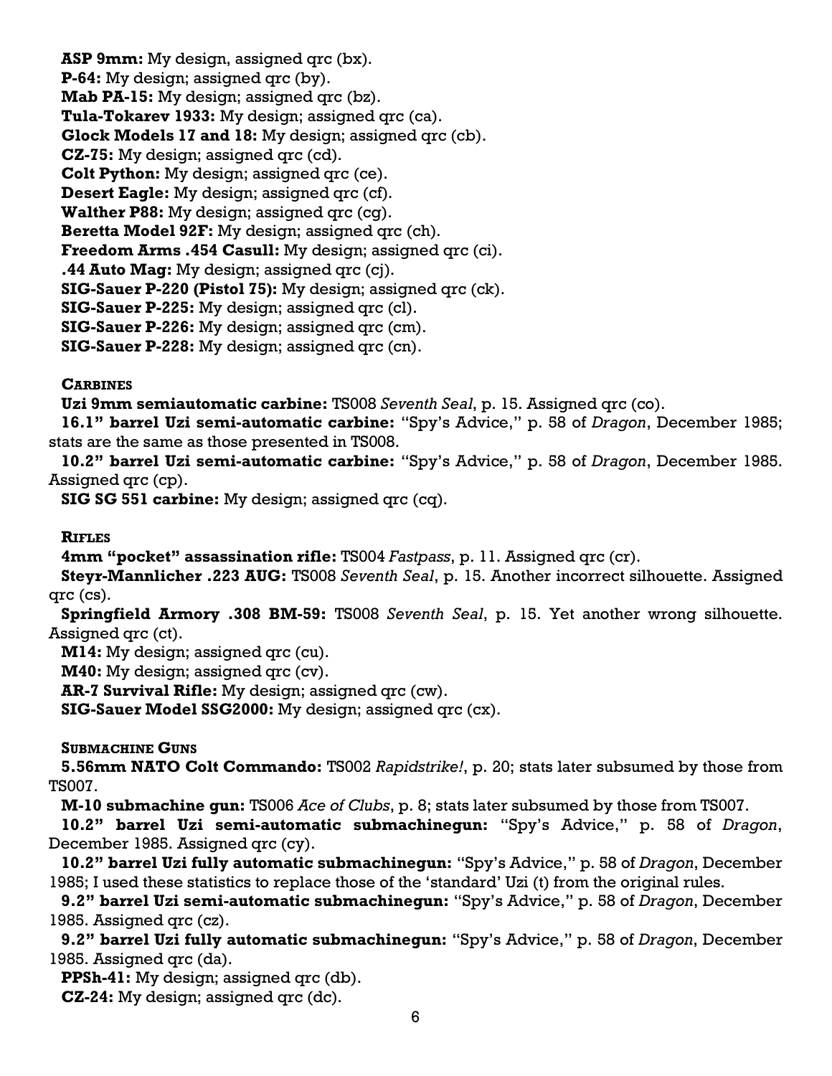**ASP 9mm:** My design, assigned qrc (bx). **P-64:** My design; assigned qrc (by). **Mab PA-15:** My design; assigned qrc (bz). **Tula-Tokarev 1933:** My design; assigned qrc (ca). **Glock Models 17 and 18:** My design; assigned qrc (cb). **CZ-75:** My design; assigned qrc (cd). **Colt Python:** My design; assigned qrc (ce). **Desert Eagle:** My design; assigned qrc (cf). **Walther P88:** My design; assigned qrc (cg). **Beretta Model 92F:** My design; assigned qrc (ch). **Freedom Arms .454 Casull:** My design; assigned qrc (ci). **.44 Auto Mag:** My design; assigned qrc (cj). **SIG-Sauer P-220 (Pistol 75):** My design; assigned qrc (ck). **SIG-Sauer P-225:** My design; assigned qrc (cl). **SIG-Sauer P-226:** My design; assigned qrc (cm). **SIG-Sauer P-228:** My design; assigned qrc (cn).

## **CARBINES**

**Uzi 9mm semiautomatic carbine:** TS008 *Seventh Seal*, p. 15. Assigned qrc (co).

**16.1" barrel Uzi semi-automatic carbine:** "Spy's Advice," p. 58 of *Dragon*, December 1985; stats are the same as those presented in TS008.

**10.2" barrel Uzi semi-automatic carbine:** "Spy's Advice," p. 58 of *Dragon*, December 1985. Assigned qrc (cp).

**SIG SG 551 carbine:** My design; assigned qrc (cq).

**RIFLES**

**4mm "pocket" assassination rifle:** TS004 *Fastpass*, p. 11. Assigned qrc (cr).

**Steyr-Mannlicher .223 AUG:** TS008 *Seventh Seal*, p. 15. Another incorrect silhouette. Assigned qrc (cs).

**Springfield Armory .308 BM-59:** TS008 *Seventh Seal*, p. 15. Yet another wrong silhouette. Assigned qrc (ct).

**M14:** My design; assigned qrc (cu).

**M40:** My design; assigned qrc (cv).

**AR-7 Survival Rifle:** My design; assigned qrc (cw).

**SIG-Sauer Model SSG2000:** My design; assigned qrc (cx).

**SUBMACHINE GUNS**

**5.56mm NATO Colt Commando:** TS002 *Rapidstrike!*, p. 20; stats later subsumed by those from TS007.

**M-10 submachine gun:** TS006 *Ace of Clubs*, p. 8; stats later subsumed by those from TS007.

**10.2" barrel Uzi semi-automatic submachinegun:** "Spy's Advice," p. 58 of *Dragon*, December 1985. Assigned qrc (cy).

**10.2" barrel Uzi fully automatic submachinegun:** "Spy's Advice," p. 58 of *Dragon*, December 1985; I used these statistics to replace those of the 'standard' Uzi (t) from the original rules.

**9.2" barrel Uzi semi-automatic submachinegun:** "Spy's Advice," p. 58 of *Dragon*, December 1985. Assigned qrc (cz).

**9.2" barrel Uzi fully automatic submachinegun:** "Spy's Advice," p. 58 of *Dragon*, December 1985. Assigned qrc (da).

**PPSh-41:** My design; assigned qrc (db).

**CZ-24:** My design; assigned qrc (dc).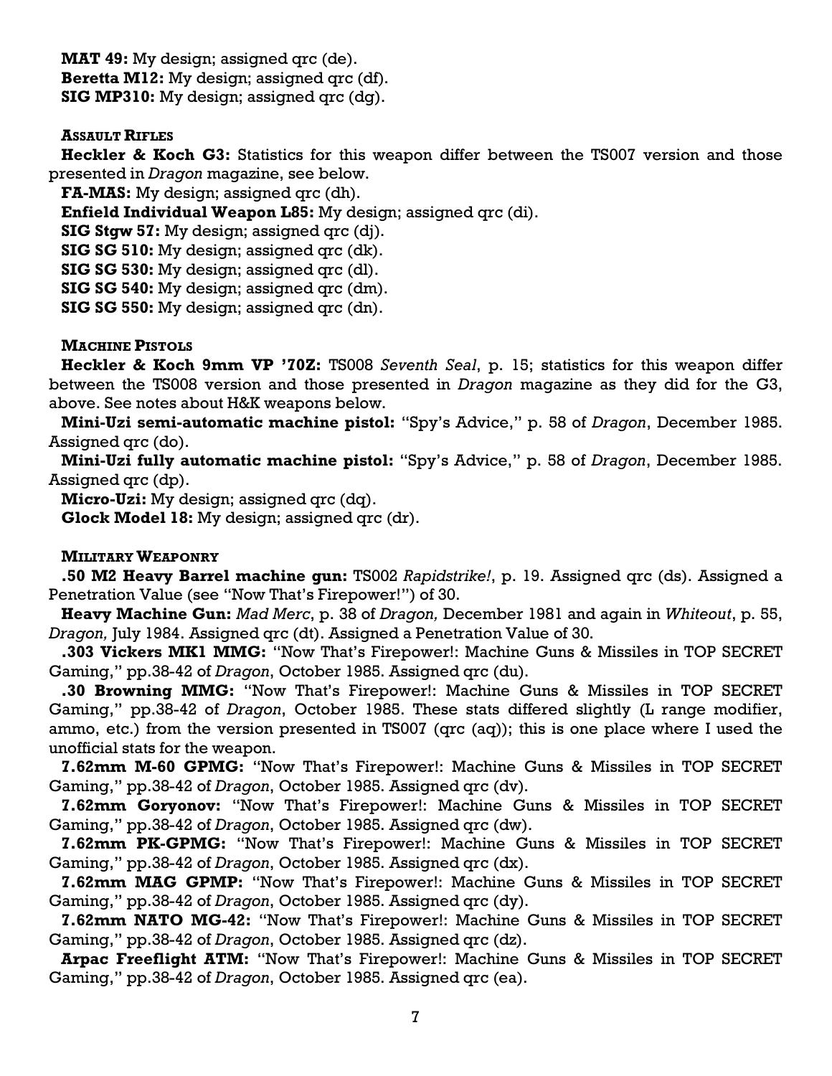**MAT 49:** My design; assigned qrc (de). **Beretta M12:** My design; assigned qrc (df). **SIG MP310:** My design; assigned qrc (dg).

### **ASSAULT RIFLES**

**Heckler & Koch G3:** Statistics for this weapon differ between the TS007 version and those presented in *Dragon* magazine, see below.

**FA-MAS:** My design; assigned qrc (dh).

**Enfield Individual Weapon L85:** My design; assigned qrc (di).

**SIG Stgw 57:** My design; assigned qrc (dj).

**SIG SG 510:** My design; assigned qrc (dk).

**SIG SG 530:** My design; assigned qrc (dl).

**SIG SG 540:** My design; assigned qrc (dm).

**SIG SG 550:** My design; assigned qrc (dn).

### **MACHINE PISTOLS**

**Heckler & Koch 9mm VP '70Z:** TS008 *Seventh Seal*, p. 15; statistics for this weapon differ between the TS008 version and those presented in *Dragon* magazine as they did for the G3, above. See notes about H&K weapons below.

**Mini-Uzi semi-automatic machine pistol:** "Spy's Advice," p. 58 of *Dragon*, December 1985. Assigned qrc (do).

**Mini-Uzi fully automatic machine pistol:** "Spy's Advice," p. 58 of *Dragon*, December 1985. Assigned qrc (dp).

**Micro-Uzi:** My design; assigned qrc (dq).

**Glock Model 18:** My design; assigned qrc (dr).

#### **MILITARY WEAPONRY**

**.50 M2 Heavy Barrel machine gun:** TS002 *Rapidstrike!*, p. 19. Assigned qrc (ds). Assigned a Penetration Value (see "Now That's Firepower!") of 30.

**Heavy Machine Gun:** *Mad Merc*, p. 38 of *Dragon,* December 1981 and again in *Whiteout*, p. 55, *Dragon,* July 1984. Assigned qrc (dt). Assigned a Penetration Value of 30.

**.303 Vickers MK1 MMG:** "Now That's Firepower!: Machine Guns & Missiles in TOP SECRET Gaming," pp.38-42 of *Dragon*, October 1985. Assigned qrc (du).

**.30 Browning MMG:** "Now That's Firepower!: Machine Guns & Missiles in TOP SECRET Gaming," pp.38-42 of *Dragon*, October 1985. These stats differed slightly (L range modifier, ammo, etc.) from the version presented in TS007 (qrc (aq)); this is one place where I used the unofficial stats for the weapon.

**7.62mm M-60 GPMG:** "Now That's Firepower!: Machine Guns & Missiles in TOP SECRET Gaming," pp.38-42 of *Dragon*, October 1985. Assigned qrc (dv).

**7.62mm Goryonov:** "Now That's Firepower!: Machine Guns & Missiles in TOP SECRET Gaming," pp.38-42 of *Dragon*, October 1985. Assigned qrc (dw).

**7.62mm PK-GPMG:** "Now That's Firepower!: Machine Guns & Missiles in TOP SECRET Gaming," pp.38-42 of *Dragon*, October 1985. Assigned qrc (dx).

**7.62mm MAG GPMP:** "Now That's Firepower!: Machine Guns & Missiles in TOP SECRET Gaming," pp.38-42 of *Dragon*, October 1985. Assigned qrc (dy).

**7.62mm NATO MG-42:** "Now That's Firepower!: Machine Guns & Missiles in TOP SECRET Gaming," pp.38-42 of *Dragon*, October 1985. Assigned qrc (dz).

**Arpac Freeflight ATM:** "Now That's Firepower!: Machine Guns & Missiles in TOP SECRET Gaming," pp.38-42 of *Dragon*, October 1985. Assigned qrc (ea).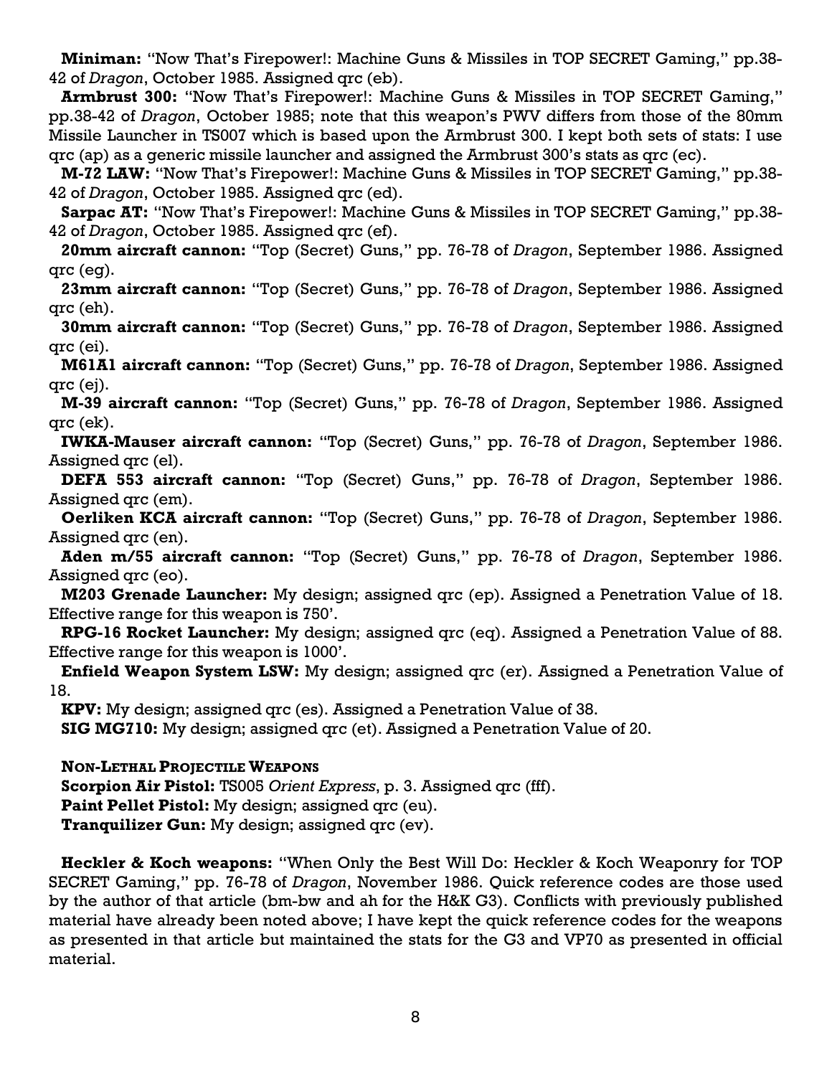**Miniman:** "Now That's Firepower!: Machine Guns & Missiles in TOP SECRET Gaming," pp.38- 42 of *Dragon*, October 1985. Assigned qrc (eb).

**Armbrust 300:** "Now That's Firepower!: Machine Guns & Missiles in TOP SECRET Gaming," pp.38-42 of *Dragon*, October 1985; note that this weapon's PWV differs from those of the 80mm Missile Launcher in TS007 which is based upon the Armbrust 300. I kept both sets of stats: I use qrc (ap) as a generic missile launcher and assigned the Armbrust 300's stats as qrc (ec).

**M-72 LAW:** "Now That's Firepower!: Machine Guns & Missiles in TOP SECRET Gaming," pp.38- 42 of *Dragon*, October 1985. Assigned qrc (ed).

**Sarpac AT:** "Now That's Firepower!: Machine Guns & Missiles in TOP SECRET Gaming," pp.38- 42 of *Dragon*, October 1985. Assigned qrc (ef).

**20mm aircraft cannon:** "Top (Secret) Guns," pp. 76-78 of *Dragon*, September 1986. Assigned qrc (eg).

**23mm aircraft cannon:** "Top (Secret) Guns," pp. 76-78 of *Dragon*, September 1986. Assigned qrc (eh).

**30mm aircraft cannon:** "Top (Secret) Guns," pp. 76-78 of *Dragon*, September 1986. Assigned qrc (ei).

**M61A1 aircraft cannon:** "Top (Secret) Guns," pp. 76-78 of *Dragon*, September 1986. Assigned qrc (ej).

**M-39 aircraft cannon:** "Top (Secret) Guns," pp. 76-78 of *Dragon*, September 1986. Assigned qrc (ek).

**IWKA-Mauser aircraft cannon:** "Top (Secret) Guns," pp. 76-78 of *Dragon*, September 1986. Assigned qrc (el).

**DEFA 553 aircraft cannon:** "Top (Secret) Guns," pp. 76-78 of *Dragon*, September 1986. Assigned qrc (em).

**Oerliken KCA aircraft cannon:** "Top (Secret) Guns," pp. 76-78 of *Dragon*, September 1986. Assigned qrc (en).

**Aden m/55 aircraft cannon:** "Top (Secret) Guns," pp. 76-78 of *Dragon*, September 1986. Assigned qrc (eo).

**M203 Grenade Launcher:** My design; assigned qrc (ep). Assigned a Penetration Value of 18. Effective range for this weapon is 750'.

**RPG-16 Rocket Launcher:** My design; assigned qrc (eq). Assigned a Penetration Value of 88. Effective range for this weapon is 1000'.

**Enfield Weapon System LSW:** My design; assigned qrc (er). Assigned a Penetration Value of 18.

**KPV:** My design; assigned qrc (es). Assigned a Penetration Value of 38.

**SIG MG710:** My design; assigned qrc (et). Assigned a Penetration Value of 20.

**NON-LETHAL PROJECTILE WEAPONS**

**Scorpion Air Pistol:** TS005 *Orient Express*, p. 3. Assigned qrc (fff).

Paint Pellet Pistol: My design; assigned grc (eu).

**Tranquilizer Gun:** My design; assigned qrc (ev).

**Heckler & Koch weapons:** "When Only the Best Will Do: Heckler & Koch Weaponry for TOP SECRET Gaming," pp. 76-78 of *Dragon*, November 1986. Quick reference codes are those used by the author of that article (bm-bw and ah for the H&K G3). Conflicts with previously published material have already been noted above; I have kept the quick reference codes for the weapons as presented in that article but maintained the stats for the G3 and VP70 as presented in official material.